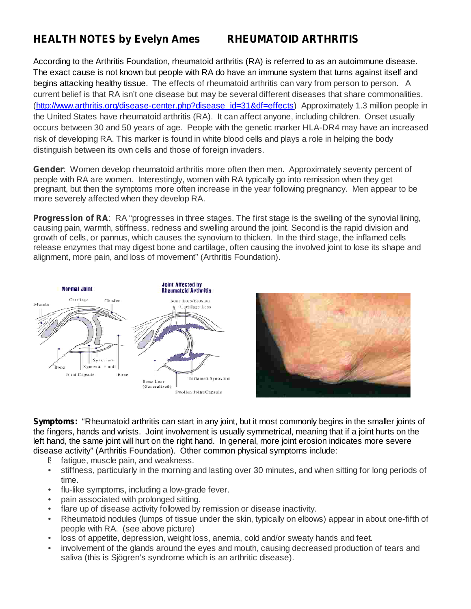## *HEALTH NOTES by Evelyn Ames RHEUMATOID ARTHRITIS*

According to the Arthritis Foundation, rheumatoid arthritis (RA) is referred to as an autoimmune disease. The exact cause is not known but people with RA do have an immune system that turns against itself and begins attacking healthy tissue. The effects of rheumatoid arthritis can vary from person to person. A current belief is that RA isn't one disease but may be several different diseases that share commonalities. (http://www.arthritis.org/disease-center.php?disease\_id=31&df=effects) Approximately 1.3 million people in the United States have rheumatoid arthritis (RA). It can affect anyone, including children. Onset usually occurs between 30 and 50 years of age. People with the genetic marker HLA-DR4 may have an increased risk of developing RA. This marker is found in white blood cells and plays a role in helping the body distinguish between its own cells and those of foreign invaders.

Gender: Women develop rheumatoid arthritis more often then men. Approximately seventy percent of people with RA are women. Interestingly, women with RA typically go into remission when they get pregnant, but then the symptoms more often increase in the year following pregnancy. Men appear to be more severely affected when they develop RA.

**Progression of RA:** RA "progresses in three stages. The first stage is the swelling of the synovial lining, causing pain, warmth, stiffness, redness and swelling around the joint. Second is the rapid division and growth of cells, or pannus, which causes the synovium to thicken. In the third stage, the inflamed cells release enzymes that may digest bone and cartilage, often causing the involved joint to lose its shape and alignment, more pain, and loss of movement" (Arthritis Foundation).





Symptoms: "Rheumatoid arthritis can start in any joint, but it most commonly begins in the smaller joints of the fingers, hands and wrists. Joint involvement is usually symmetrical, meaning that if a joint hurts on the left hand, the same joint will hurt on the right hand. In general, more joint erosion indicates more severe disease activity" (Arthritis Foundation). Other common physical symptoms include:

- fatigue, muscle pain, and weakness. §
- stiffness, particularly in the morning and lasting over 30 minutes, and when sitting for long periods of time. •
- flu-like symptoms, including a low-grade fever. •
- pain associated with prolonged sitting. •
- flare up of disease activity followed by remission or disease inactivity. •
- Rheumatoid nodules (lumps of tissue under the skin, typically on elbows) appear in about one-fifth of people with RA. (see above picture) •
- loss of appetite, depression, weight loss, anemia, cold and/or sweaty hands and feet. •
- involvement of the glands around the eyes and mouth, causing decreased production of tears and saliva (this is Sjögren's syndrome which is an arthritic disease). •